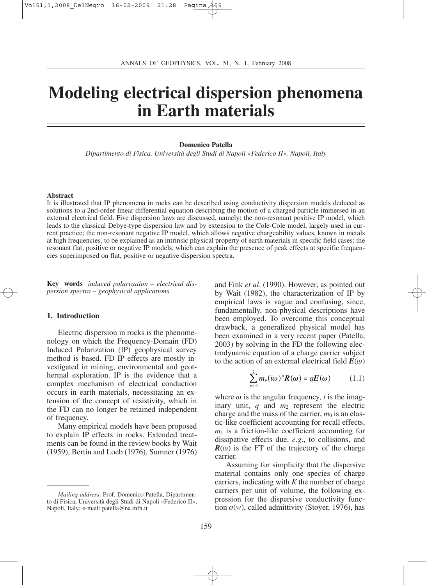# **Modeling electrical dispersion phenomena in Earth materials**

### **Domenico Patella**

*Dipartimento di Fisica, Università degli Studi di Napoli «Federico II», Napoli, Italy*

#### **Abstract**

It is illustrated that IP phenomena in rocks can be described using conductivity dispersion models deduced as solutions to a 2nd-order linear differential equation describing the motion of a charged particle immersed in an external electrical field. Five dispersion laws are discussed, namely: the non-resonant positive IP model, which leads to the classical Debye-type dispersion law and by extension to the Cole-Cole model, largely used in current practice; the non-resonant negative IP model, which allows negative chargeability values, known in metals at high frequencies, to be explained as an intrinsic physical property of earth materials in specific field cases; the resonant flat, positive or negative IP models, which can explain the presence of peak effects at specific frequencies superimposed on flat, positive or negative dispersion spectra.

**Key words** *induced polarization – electrical dispersion spectra – geophysical applications*

# **1. Introduction**

Electric dispersion in rocks is the phenomenology on which the Frequency-Domain (FD) Induced Polarization (IP) geophysical survey method is based. FD IP effects are mostly investigated in mining, environmental and geothermal exploration. IP is the evidence that a complex mechanism of electrical conduction occurs in earth materials, necessitating an extension of the concept of resistivity, which in the FD can no longer be retained independent of frequency.

Many empirical models have been proposed to explain IP effects in rocks. Extended treatments can be found in the review books by Wait (1959), Bertin and Loeb (1976), Sumner (1976) and Fink *et al*. (1990). However, as pointed out by Wait (1982), the characterization of IP by empirical laws is vague and confusing, since, fundamentally, non-physical descriptions have been employed. To overcome this conceptual drawback, a generalized physical model has been examined in a very recent paper (Patella, 2003) by solving in the FD the following electrodynamic equation of a charge carrier subject to the action of an external electrical field  $E(\omega)$ 

$$
\sum_{p=0}^{2} m_p(i\omega)^p R(\omega) = qE(\omega) \qquad (1.1)
$$

where  $\omega$  is the angular frequency, *i* is the imaginary unit, *q* and *m*<sup>2</sup> represent the electric charge and the mass of the carrier,  $m_0$  is an elastic-like coefficient accounting for recall effects,  $m_1$  is a friction-like coefficient accounting for dissipative effects due, *e*.*g*., to collisions, and  $R(\omega)$  is the FT of the trajectory of the charge carrier.

Assuming for simplicity that the dispersive material contains only one species of charge carriers, indicating with *K* the number of charge carriers per unit of volume, the following expression for the dispersive conductivity function  $\sigma(w)$ , called admittivity (Stoyer, 1976), has

*Mailing address*: Prof. Domenico Patella, Dipartimento di Fisica, Università degli Studi di Napoli «Federico II», Napoli, Italy; e-mail: patella@na.infn.it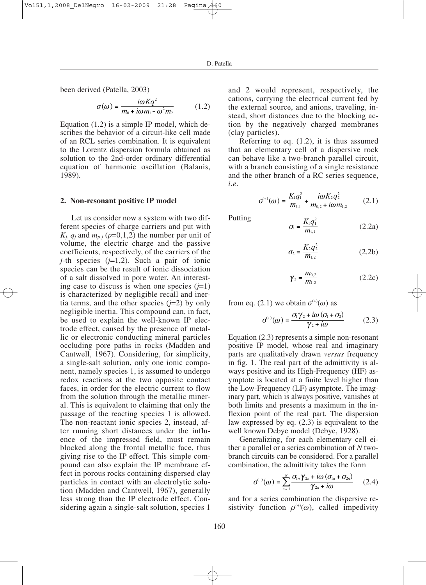been derived (Patella, 2003)

$$
\sigma(\omega) = \frac{i\omega Kq^2}{m_0 + i\omega m_1 - \omega^2 m_2} \tag{1.2}
$$

Equation (1.2) is a simple IP model, which describes the behavior of a circuit-like cell made of an RCL series combination. It is equivalent to the Lorentz dispersion formula obtained as solution to the 2nd-order ordinary differential equation of harmonic oscillation (Balanis, 1989).

## **2. Non-resonant positive IP model**

Let us consider now a system with two different species of charge carriers and put with  $K_i$ ,  $q_i$  and  $m_{p,i}$  ( $p=0,1,2$ ) the number per unit of volume, the electric charge and the passive coefficients, respectively, of the carriers of the *j*-th species (*j*=1,2). Such a pair of ionic species can be the result of ionic dissociation of a salt dissolved in pore water. An interesting case to discuss is when one species  $(j=1)$ is characterized by negligible recall and inertia terms, and the other species  $(j=2)$  by only negligible inertia. This compound can, in fact, be used to explain the well-known IP electrode effect, caused by the presence of metallic or electronic conducting mineral particles occluding pore paths in rocks (Madden and Cantwell, 1967). Considering, for simplicity, a single-salt solution, only one ionic component, namely species 1, is assumed to undergo redox reactions at the two opposite contact faces, in order for the electric current to flow from the solution through the metallic mineral. This is equivalent to claiming that only the passage of the reacting species 1 is allowed. The non-reactant ionic species 2, instead, after running short distances under the influence of the impressed field, must remain blocked along the frontal metallic face, thus giving rise to the IP effect. This simple compound can also explain the IP membrane effect in porous rocks containing dispersed clay particles in contact with an electrolytic solution (Madden and Cantwell, 1967), generally less strong than the IP electrode effect. Considering again a single-salt solution, species 1

and 2 would represent, respectively, the cations, carrying the electrical current fed by the external source, and anions, traveling, instead, short distances due to the blocking action by the negatively charged membranes (clay particles).

Referring to eq. (1.2), it is thus assumed that an elementary cell of a dispersive rock can behave like a two-branch parallel circuit, with a branch consisting of a single resistance and the other branch of a RC series sequence, *i*.*e*.

$$
\sigma^{(+)}(\omega) = \frac{K_1 q_1^2}{m_{1,1}} + \frac{i\omega K_2 q_2^2}{m_{0,2} + i\omega m_{1,2}} \qquad (2.1)
$$

Putting

$$
\sigma_{\rm l} = \frac{K_{\rm l} q_{\rm l}^2}{m_{\rm l,1}} \tag{2.2a}
$$

$$
\sigma_2 = \frac{K_2 q_2^2}{m_{1,2}}\tag{2.2b}
$$

$$
\gamma_2 = \frac{m_{0,2}}{m_{1,2}}\tag{2.2c}
$$

from eq. (2.1) we obtain  $\sigma^{(+)}(\omega)$  as

$$
\sigma^{(+)}(\omega) = \frac{\sigma_1 \gamma_2 + i\omega (\sigma_1 + \sigma_2)}{\gamma_2 + i\omega} \tag{2.3}
$$

Equation (2.3) represents a simple non-resonant positive IP model, whose real and imaginary parts are qualitatively drawn *versus* frequency in fig. 1. The real part of the admittivity is always positive and its High-Frequency (HF) asymptote is located at a finite level higher than the Low-Frequency (LF) asymptote. The imaginary part, which is always positive, vanishes at both limits and presents a maximum in the inflexion point of the real part. The dispersion law expressed by eq. (2.3) is equivalent to the well known Debye model (Debye, 1928).

Generalizing, for each elementary cell either a parallel or a series combination of *N* twobranch circuits can be considered. For a parallel combination, the admittivity takes the form

$$
\sigma^{(+)}(\omega) = \sum_{n=1}^{N} \frac{\sigma_{1n}\gamma_{2n} + i\omega\left(\sigma_{1n} + \sigma_{2n}\right)}{\gamma_{2n} + i\omega} \qquad (2.4)
$$

and for a series combination the dispersive resistivity function  $\rho^{(+)}(\omega)$ , called impedivity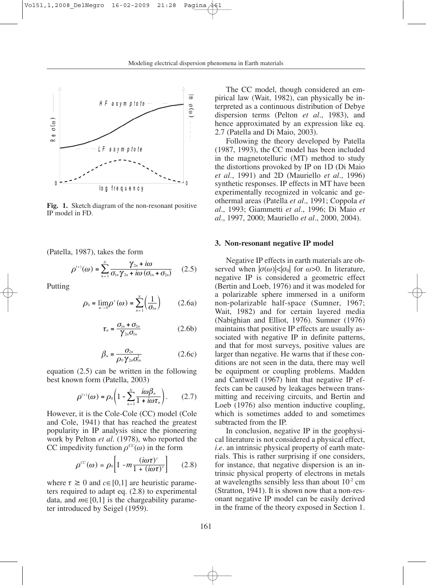

**Fig. 1.** Sketch diagram of the non-resonant positive IP model in FD.

(Patella, 1987), takes the form

$$
\rho^{(+)}(\omega) = \sum_{n=1}^{N} \frac{\gamma_{2n} + i\omega}{\sigma_{1n}\gamma_{2n} + i\omega\left(\sigma_{1n} + \sigma_{2n}\right)} \qquad (2.5)
$$

Putting

$$
\rho_0 = \lim_{\omega \to 0} \rho^*(\omega) = \sum_{n=1}^N \left(\frac{1}{\sigma_{1n}}\right) \qquad (2.6a)
$$

$$
\tau_n = \frac{\sigma_{1n} + \sigma_{2n}}{\gamma_{2n}\sigma_{1n}} \tag{2.6b}
$$

$$
\beta_n = \frac{\sigma_{2n}}{\rho_0 \gamma_{2n} \sigma_{1n}^2} \tag{2.6c}
$$

equation (2.5) can be written in the following best known form (Patella, 2003)

$$
\rho^{(+)}(\omega) = \rho_0 \left( 1 - \sum_{n=1}^N \frac{i\omega \beta_n}{1 + i\omega \tau_n} \right). \tag{2.7}
$$

However, it is the Cole-Cole (CC) model (Cole and Cole, 1941) that has reached the greatest popularity in IP analysis since the pioneering work by Pelton *et al*. (1978), who reported the CC impedivity function  $\rho^{CC}(\omega)$  in the form

$$
\rho^{cc}(\omega) = \rho_0 \left[ 1 - m \frac{(i\omega \tau)^c}{1 + (i\omega \tau)^c} \right] \qquad (2.8)
$$

where  $\tau \geq 0$  and  $c \in [0,1]$  are heuristic parameters required to adapt eq. (2.8) to experimental data, and  $m∈[0,1]$  is the chargeability parameter introduced by Seigel (1959).

The CC model, though considered an empirical law (Wait, 1982), can physically be interpreted as a continuous distribution of Debye dispersion terms (Pelton *et al*., 1983), and hence approximated by an expression like eq. 2.7 (Patella and Di Maio, 2003).

Following the theory developed by Patella (1987, 1993), the CC model has been included in the magnetotelluric (MT) method to study the distortions provoked by IP on 1D (Di Maio *et al*., 1991) and 2D (Mauriello *et al*., 1996) synthetic responses. IP effects in MT have been experimentally recognized in volcanic and geothermal areas (Patella *et al*., 1991; Coppola *et al*., 1993; Giammetti *et al*., 1996; Di Maio *et al*., 1997, 2000; Mauriello *et al*., 2000, 2004).

## **3. Non-resonant negative IP model**

Negative IP effects in earth materials are observed when  $|\sigma(\omega)| < |\sigma_0|$  for  $\omega > 0$ . In literature, negative IP is considered a geometric effect (Bertin and Loeb, 1976) and it was modeled for a polarizable sphere immersed in a uniform non-polarizable half-space (Sumner, 1967; Wait, 1982) and for certain layered media (Nabighian and Elliot, 1976). Sumner (1976) maintains that positive IP effects are usually associated with negative IP in definite patterns, and that for most surveys, positive values are larger than negative. He warns that if these conditions are not seen in the data, there may well be equipment or coupling problems. Madden and Cantwell (1967) hint that negative IP effects can be caused by leakages between transmitting and receiving circuits, and Bertin and Loeb (1976) also mention inductive coupling, which is sometimes added to and sometimes subtracted from the IP.

In conclusion, negative IP in the geophysical literature is not considered a physical effect, *i.e.* an intrinsic physical property of earth materials. This is rather surprising if one considers, for instance, that negative dispersion is an intrinsic physical property of electrons in metals at wavelengths sensibly less than about  $10^{-2}$  cm (Stratton, 1941). It is shown now that a non-resonant negative IP model can be easily derived in the frame of the theory exposed in Section 1.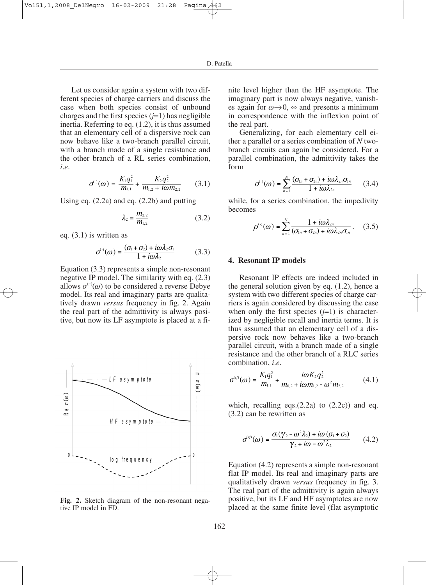Let us consider again a system with two different species of charge carriers and discuss the case when both species consist of unbound charges and the first species (*j*=1) has negligible inertia. Referring to eq. (1.2), it is thus assumed that an elementary cell of a dispersive rock can now behave like a two-branch parallel circuit, with a branch made of a single resistance and the other branch of a RL series combination, *i*.*e*.

$$
\sigma^{(\cdot)}(\omega) = \frac{K_1 q_1^2}{m_{1,1}} + \frac{K_2 q_2^2}{m_{1,2} + i \omega m_{2,2}} \qquad (3.1)
$$

Using eq. (2.2a) and eq. (2.2b) and putting

$$
\lambda_2 = \frac{m_{2,2}}{m_{1,2}}\tag{3.2}
$$

eq. (3.1) is written as

$$
\sigma^{(3)}(\omega) = \frac{(\sigma_1 + \sigma_2) + i\omega\lambda_2\sigma_1}{1 + i\omega\lambda_2} \tag{3.3}
$$

Equation (3.3) represents a simple non-resonant negative IP model. The similarity with eq. (2.3) allows  $\sigma^{(-)}(\omega)$  to be considered a reverse Debye model. Its real and imaginary parts are qualitatively drawn *versus* frequency in fig. 2. Again the real part of the admittivity is always positive, but now its LF asymptote is placed at a fi-



**Fig. 2.** Sketch diagram of the non-resonant negative IP model in FD.

nite level higher than the HF asymptote. The imaginary part is now always negative, vanishes again for  $\omega \rightarrow 0$ ,  $\infty$  and presents a minimum in correspondence with the inflexion point of the real part.

Generalizing, for each elementary cell either a parallel or a series combination of *N* twobranch circuits can again be considered. For a parallel combination, the admittivity takes the form

$$
\sigma^{(\cdot)}(\omega) = \sum_{n=1}^{N} \frac{(\sigma_{1n} + \sigma_{2n}) + i\omega \lambda_{2n} \sigma_{1n}}{1 + i\omega \lambda_{2n}} \qquad (3.4)
$$

while, for a series combination, the impedivity becomes

$$
\rho^{(\cdot)}(\omega) = \sum_{n=1}^{N} \frac{1 + i\omega \lambda_{2n}}{(\sigma_{1n} + \sigma_{2n}) + i\omega \lambda_{2n} \sigma_{1n}}.
$$
 (3.5)

## **4. Resonant IP models**

Resonant IP effects are indeed included in the general solution given by eq. (1.2), hence a system with two different species of charge carriers is again considered by discussing the case when only the first species  $(j=1)$  is characterized by negligible recall and inertia terms. It is thus assumed that an elementary cell of a dispersive rock now behaves like a two-branch parallel circuit, with a branch made of a single resistance and the other branch of a RLC series combination, *i*.*e*.

$$
\sigma^{(r)}(\omega) = \frac{K_1 q_1^2}{m_{1,1}} + \frac{i\omega K_2 q_2^2}{m_{0,2} + i\omega m_{1,2} - \omega^2 m_{2,2}} \tag{4.1}
$$

which, recalling eqs. $(2.2a)$  to  $(2.2c)$  and eq. (3.2) can be rewritten as

$$
\sigma^{(r)}(\omega) = \frac{\sigma_1(\gamma_2 - \omega^2 \lambda_2) + i\omega (\sigma_1 + \sigma_2)}{\gamma_2 + i\omega - \omega^2 \lambda_2} \qquad (4.2)
$$

Equation (4.2) represents a simple non-resonant flat IP model. Its real and imaginary parts are qualitatively drawn *versus* frequency in fig. 3. The real part of the admittivity is again always positive, but its LF and HF asymptotes are now placed at the same finite level (flat asymptotic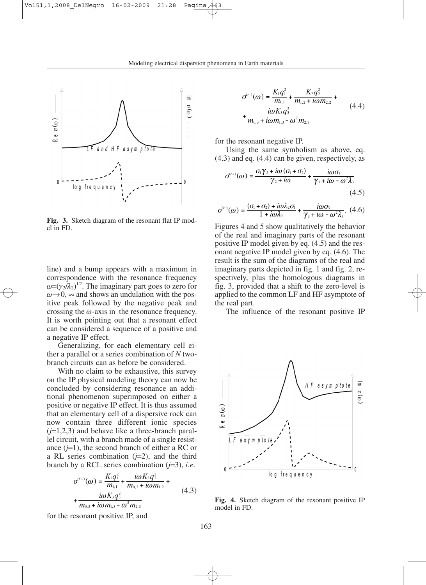

**Fig. 3.** Sketch diagram of the resonant flat IP model in FD.

line) and a bump appears with a maximum in correspondence with the resonance frequency  $\omega = (\gamma_2/\lambda_2)^{1/2}$ . The imaginary part goes to zero for  $\omega \rightarrow 0$ ,  $\infty$  and shows an undulation with the positive peak followed by the negative peak and crossing the  $\omega$ -axis in the resonance frequency. It is worth pointing out that a resonant effect can be considered a sequence of a positive and a negative IP effect.

Generalizing, for each elementary cell either a parallel or a series combination of *N* twobranch circuits can as before be considered.

With no claim to be exhaustive, this survey on the IP physical modeling theory can now be concluded by considering resonance an additional phenomenon superimposed on either a positive or negative IP effect. It is thus assumed that an elementary cell of a dispersive rock can now contain three different ionic species  $(j=1,2,3)$  and behave like a three-branch parallel circuit, with a branch made of a single resistance  $(j=1)$ , the second branch of either a RC or a RL series combination  $(j=2)$ , and the third branch by a RCL series combination (*j*=3), *i*.*e*.

$$
\sigma^{(r+)}(\omega) = \frac{K_1 q_1^2}{m_{1,1}} + \frac{i\omega K_2 q_2^2}{m_{0,2} + i\omega m_{1,2}} + \frac{i\omega K_3 q_3^2}{m_{0,3} + i\omega m_{1,3} - \omega^2 m_{2,3}}
$$
(4.3)

for the resonant positive IP, and

$$
\sigma^{(r)}(\omega) = \frac{K_1 q_1^2}{m_{1,1}} + \frac{K_2 q_2^2}{m_{1,2} + i\omega m_{2,2}} + \frac{i\omega K_3 q_3^2}{m_{0,3} + i\omega m_{1,3} - \omega^2 m_{2,3}}
$$
(4.4)

for the resonant negative IP.

Using the same symbolism as above, eq. (4.3) and eq. (4.4) can be given, respectively, as

$$
\sigma^{(r+)}(\omega) = \frac{\sigma_1 \gamma_2 + i\omega (\sigma_1 + \sigma_2)}{\gamma_2 + i\omega} + \frac{i\omega \sigma_3}{\gamma_3 + i\omega - \omega^2 \lambda_3}
$$
(4.5)

$$
\sigma^{(r)}(\omega) = \frac{(\sigma_1 + \sigma_2) + i\omega\lambda_2\sigma_1}{1 + i\omega\lambda_2} + \frac{i\omega\sigma_3}{\gamma_3 + i\omega - \omega^2\lambda_3}.\tag{4.6}
$$

Figures 4 and 5 show qualitatively the behavior of the real and imaginary parts of the resonant positive IP model given by eq. (4.5) and the resonant negative IP model given by eq. (4.6). The result is the sum of the diagrams of the real and imaginary parts depicted in fig. 1 and fig. 2, respectively, plus the homologous diagrams in fig. 3, provided that a shift to the zero-level is applied to the common LF and HF asymptote of the real part.

The influence of the resonant positive IP



**Fig. 4.** Sketch diagram of the resonant positive IP model in FD.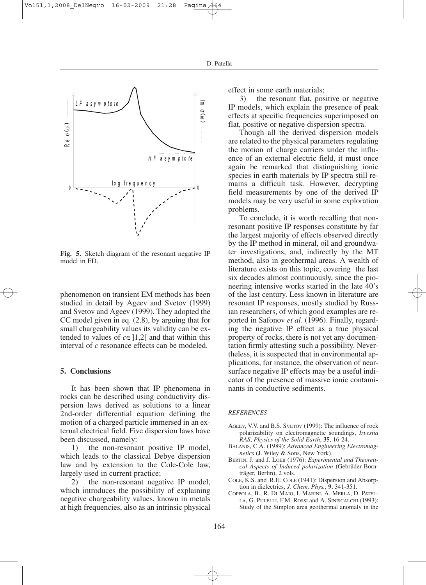

**Fig. 5.** Sketch diagram of the resonant negative IP model in FD.

phenomenon on transient EM methods has been studied in detail by Ageev and Svetov (1999) and Svetov and Ageev (1999). They adopted the CC model given in eq. (2.8), by arguing that for small chargeability values its validity can be extended to values of  $c \in [1,2]$  and that within this interval of *c* resonance effects can be modeled.

# **5. Conclusions**

It has been shown that IP phenomena in rocks can be described using conductivity dispersion laws derived as solutions to a linear 2nd-order differential equation defining the motion of a charged particle immersed in an external electrical field. Five dispersion laws have been discussed, namely:

1) the non-resonant positive IP model, which leads to the classical Debye dispersion law and by extension to the Cole-Cole law, largely used in current practice;

2) the non-resonant negative IP model, which introduces the possibility of explaining negative chargeability values, known in metals at high frequencies, also as an intrinsic physical

effect in some earth materials;

3) the resonant flat, positive or negative IP models, which explain the presence of peak effects at specific frequencies superimposed on flat, positive or negative dispersion spectra.

Though all the derived dispersion models are related to the physical parameters regulating the motion of charge carriers under the influence of an external electric field, it must once again be remarked that distinguishing ionic species in earth materials by IP spectra still remains a difficult task. However, decrypting field measurements by one of the derived IP models may be very useful in some exploration problems.

To conclude, it is worth recalling that nonresonant positive IP responses constitute by far the largest majority of effects observed directly by the IP method in mineral, oil and groundwater investigations, and, indirectly by the MT method, also in geothermal areas. A wealth of literature exists on this topic, covering the last six decades almost continuously, since the pioneering intensive works started in the late 40's of the last century. Less known in literature are resonant IP responses, mostly studied by Russian researchers, of which good examples are reported in Safonov *et al*. (1996). Finally, regarding the negative IP effect as a true physical property of rocks, there is not yet any documentation firmly attesting such a possibility. Nevertheless, it is suspected that in environmental applications, for instance, the observation of nearsurface negative IP effects may be a useful indicator of the presence of massive ionic contaminants in conductive sediments.

#### *REFERENCES*

- AGEEV, V.V. and B.S. SVETOV (1999): The influence of rock polarizability on electromagnetic soundings, *Izvestia RAS*, *Physics of the Solid Earth*, **35**, 16-24.
- BALANIS, C.A. (1989): *Advanced Engineering Electromagnetics* (J. Wiley & Sons, New York).
- BERTIN, J. and J. LOEB (1976): *Experimental and Theoretical Aspects of Induced polarization* (Gebrüder-Bornträger, Berlin), 2 vols.
- COLE, K.S. and R.H. COLE (1941): Dispersion and Absorption in dielectrics, *J. Chem. Phys.*, **9**, 341-351.
- COPPOLA, B., R. DI MAIO, I. MARINI, A. MERLA, D. PATEL-LA, G. PULELLI, F.M. ROSSI and A. SINISCALCHI (1993): Study of the Simplon area geothermal anomaly in the